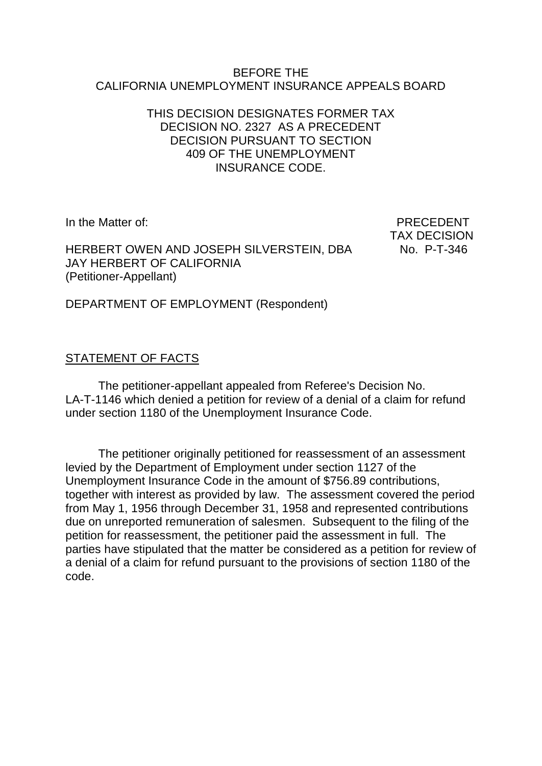#### BEFORE THE CALIFORNIA UNEMPLOYMENT INSURANCE APPEALS BOARD

### THIS DECISION DESIGNATES FORMER TAX DECISION NO. 2327 AS A PRECEDENT DECISION PURSUANT TO SECTION 409 OF THE UNEMPLOYMENT INSURANCE CODE.

In the Matter of: PRECEDENT

HERBERT OWEN AND JOSEPH SILVERSTEIN, DBA No. P-T-346 JAY HERBERT OF CALIFORNIA (Petitioner-Appellant)

TAX DECISION

DEPARTMENT OF EMPLOYMENT (Respondent)

# STATEMENT OF FACTS

The petitioner-appellant appealed from Referee's Decision No. LA-T-1146 which denied a petition for review of a denial of a claim for refund under section 1180 of the Unemployment Insurance Code.

The petitioner originally petitioned for reassessment of an assessment levied by the Department of Employment under section 1127 of the Unemployment Insurance Code in the amount of \$756.89 contributions, together with interest as provided by law. The assessment covered the period from May 1, 1956 through December 31, 1958 and represented contributions due on unreported remuneration of salesmen. Subsequent to the filing of the petition for reassessment, the petitioner paid the assessment in full. The parties have stipulated that the matter be considered as a petition for review of a denial of a claim for refund pursuant to the provisions of section 1180 of the code.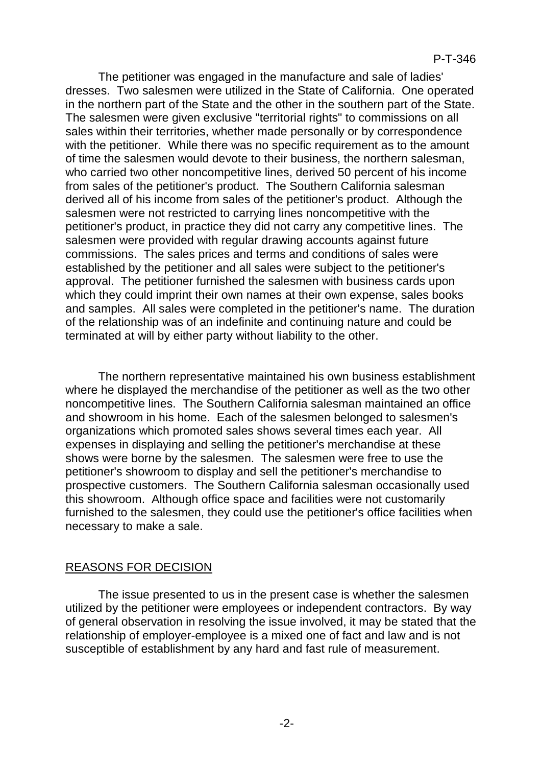The petitioner was engaged in the manufacture and sale of ladies' dresses. Two salesmen were utilized in the State of California. One operated in the northern part of the State and the other in the southern part of the State. The salesmen were given exclusive "territorial rights" to commissions on all sales within their territories, whether made personally or by correspondence with the petitioner. While there was no specific requirement as to the amount of time the salesmen would devote to their business, the northern salesman, who carried two other noncompetitive lines, derived 50 percent of his income from sales of the petitioner's product. The Southern California salesman derived all of his income from sales of the petitioner's product. Although the salesmen were not restricted to carrying lines noncompetitive with the petitioner's product, in practice they did not carry any competitive lines. The salesmen were provided with regular drawing accounts against future commissions. The sales prices and terms and conditions of sales were established by the petitioner and all sales were subject to the petitioner's approval. The petitioner furnished the salesmen with business cards upon which they could imprint their own names at their own expense, sales books and samples. All sales were completed in the petitioner's name. The duration of the relationship was of an indefinite and continuing nature and could be terminated at will by either party without liability to the other.

The northern representative maintained his own business establishment where he displayed the merchandise of the petitioner as well as the two other noncompetitive lines. The Southern California salesman maintained an office and showroom in his home. Each of the salesmen belonged to salesmen's organizations which promoted sales shows several times each year. All expenses in displaying and selling the petitioner's merchandise at these shows were borne by the salesmen. The salesmen were free to use the petitioner's showroom to display and sell the petitioner's merchandise to prospective customers. The Southern California salesman occasionally used this showroom. Although office space and facilities were not customarily furnished to the salesmen, they could use the petitioner's office facilities when necessary to make a sale.

#### REASONS FOR DECISION

The issue presented to us in the present case is whether the salesmen utilized by the petitioner were employees or independent contractors. By way of general observation in resolving the issue involved, it may be stated that the relationship of employer-employee is a mixed one of fact and law and is not susceptible of establishment by any hard and fast rule of measurement.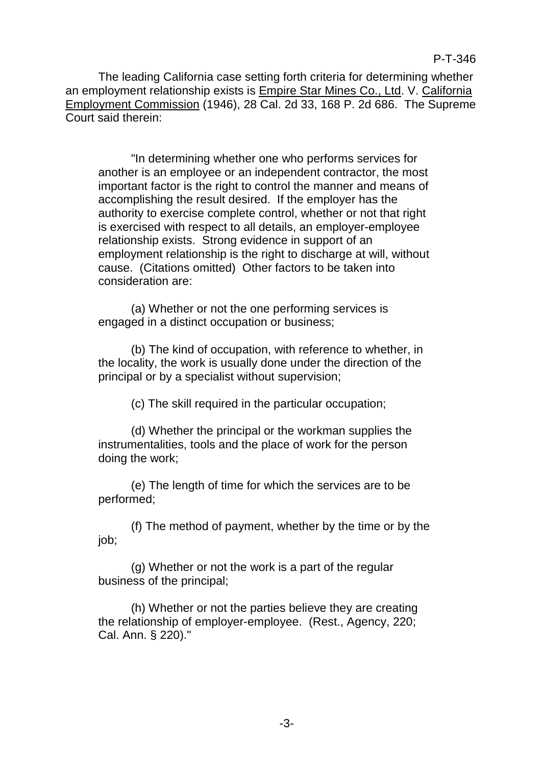The leading California case setting forth criteria for determining whether an employment relationship exists is Empire Star Mines Co., Ltd. V. California Employment Commission (1946), 28 Cal. 2d 33, 168 P. 2d 686. The Supreme Court said therein:

"In determining whether one who performs services for another is an employee or an independent contractor, the most important factor is the right to control the manner and means of accomplishing the result desired. If the employer has the authority to exercise complete control, whether or not that right is exercised with respect to all details, an employer-employee relationship exists. Strong evidence in support of an employment relationship is the right to discharge at will, without cause. (Citations omitted) Other factors to be taken into consideration are:

(a) Whether or not the one performing services is engaged in a distinct occupation or business;

(b) The kind of occupation, with reference to whether, in the locality, the work is usually done under the direction of the principal or by a specialist without supervision;

(c) The skill required in the particular occupation;

(d) Whether the principal or the workman supplies the instrumentalities, tools and the place of work for the person doing the work;

(e) The length of time for which the services are to be performed;

(f) The method of payment, whether by the time or by the job;

(g) Whether or not the work is a part of the regular business of the principal;

(h) Whether or not the parties believe they are creating the relationship of employer-employee. (Rest., Agency, 220; Cal. Ann. § 220)."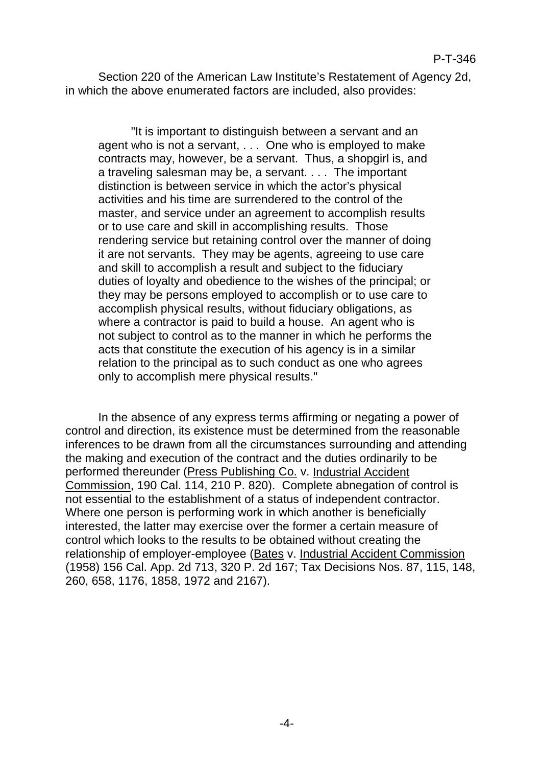Section 220 of the American Law Institute's Restatement of Agency 2d, in which the above enumerated factors are included, also provides:

"It is important to distinguish between a servant and an agent who is not a servant, . . . One who is employed to make contracts may, however, be a servant. Thus, a shopgirl is, and a traveling salesman may be, a servant. . . . The important distinction is between service in which the actor's physical activities and his time are surrendered to the control of the master, and service under an agreement to accomplish results or to use care and skill in accomplishing results. Those rendering service but retaining control over the manner of doing it are not servants. They may be agents, agreeing to use care and skill to accomplish a result and subject to the fiduciary duties of loyalty and obedience to the wishes of the principal; or they may be persons employed to accomplish or to use care to accomplish physical results, without fiduciary obligations, as where a contractor is paid to build a house. An agent who is not subject to control as to the manner in which he performs the acts that constitute the execution of his agency is in a similar relation to the principal as to such conduct as one who agrees only to accomplish mere physical results."

In the absence of any express terms affirming or negating a power of control and direction, its existence must be determined from the reasonable inferences to be drawn from all the circumstances surrounding and attending the making and execution of the contract and the duties ordinarily to be performed thereunder (Press Publishing Co. v. Industrial Accident Commission, 190 Cal. 114, 210 P. 820). Complete abnegation of control is not essential to the establishment of a status of independent contractor. Where one person is performing work in which another is beneficially interested, the latter may exercise over the former a certain measure of control which looks to the results to be obtained without creating the relationship of employer-employee (Bates v. Industrial Accident Commission (1958) 156 Cal. App. 2d 713, 320 P. 2d 167; Tax Decisions Nos. 87, 115, 148, 260, 658, 1176, 1858, 1972 and 2167).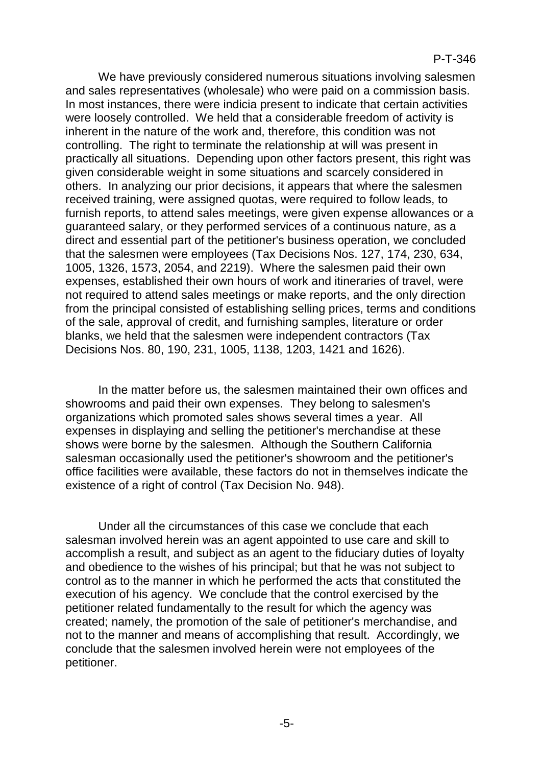We have previously considered numerous situations involving salesmen and sales representatives (wholesale) who were paid on a commission basis. In most instances, there were indicia present to indicate that certain activities were loosely controlled. We held that a considerable freedom of activity is inherent in the nature of the work and, therefore, this condition was not controlling. The right to terminate the relationship at will was present in practically all situations. Depending upon other factors present, this right was given considerable weight in some situations and scarcely considered in others. In analyzing our prior decisions, it appears that where the salesmen received training, were assigned quotas, were required to follow leads, to furnish reports, to attend sales meetings, were given expense allowances or a guaranteed salary, or they performed services of a continuous nature, as a direct and essential part of the petitioner's business operation, we concluded that the salesmen were employees (Tax Decisions Nos. 127, 174, 230, 634, 1005, 1326, 1573, 2054, and 2219). Where the salesmen paid their own expenses, established their own hours of work and itineraries of travel, were not required to attend sales meetings or make reports, and the only direction from the principal consisted of establishing selling prices, terms and conditions of the sale, approval of credit, and furnishing samples, literature or order blanks, we held that the salesmen were independent contractors (Tax Decisions Nos. 80, 190, 231, 1005, 1138, 1203, 1421 and 1626).

In the matter before us, the salesmen maintained their own offices and showrooms and paid their own expenses. They belong to salesmen's organizations which promoted sales shows several times a year. All expenses in displaying and selling the petitioner's merchandise at these shows were borne by the salesmen. Although the Southern California salesman occasionally used the petitioner's showroom and the petitioner's office facilities were available, these factors do not in themselves indicate the existence of a right of control (Tax Decision No. 948).

Under all the circumstances of this case we conclude that each salesman involved herein was an agent appointed to use care and skill to accomplish a result, and subject as an agent to the fiduciary duties of loyalty and obedience to the wishes of his principal; but that he was not subject to control as to the manner in which he performed the acts that constituted the execution of his agency. We conclude that the control exercised by the petitioner related fundamentally to the result for which the agency was created; namely, the promotion of the sale of petitioner's merchandise, and not to the manner and means of accomplishing that result. Accordingly, we conclude that the salesmen involved herein were not employees of the petitioner.